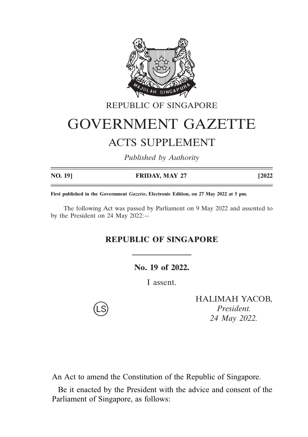

# REPUBLIC OF SINGAPORE GOVERNMENT GAZETTE ACTS SUPPLEMENT

*Published by Authority*

| NO. 19] | <b>FRIDAY, MAY 27</b> | [2022 |
|---------|-----------------------|-------|

**First published in the Government** *Gazette***, Electronic Edition, on 27 May 2022 at 5 pm.**

The following Act was passed by Parliament on 9 May 2022 and assented to by the President on 24 May 2022:—

### **REPUBLIC OF SINGAPORE**

**No. 19 of 2022.**

I assent.

HALIMAH YACOB, *President. 24 May 2022.*

An Act to amend the Constitution of the Republic of Singapore.

Be it enacted by the President with the advice and consent of the Parliament of Singapore, as follows: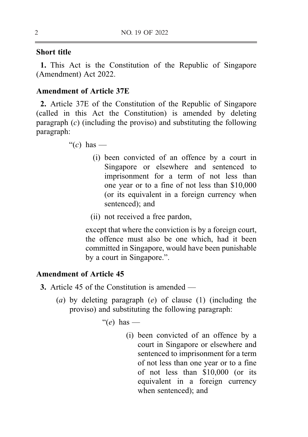#### Short title

1. This Act is the Constitution of the Republic of Singapore (Amendment) Act 2022.

#### Amendment of Article 37E

<sup>5</sup> 2. Article 37E of the Constitution of the Republic of Singapore (called in this Act the Constitution) is amended by deleting paragraph  $(c)$  (including the proviso) and substituting the following paragraph:

" $(c)$  has —

- <sup>10</sup> (i) been convicted of an offence by a court in Singapore or elsewhere and sentenced to imprisonment for a term of not less than one year or to a fine of not less than \$10,000 (or its equivalent in a foreign currency when sentenced); and
- (ii) not received a free pardon,

except that where the conviction is by a foreign court, the offence must also be one which, had it been committed in Singapore, would have been punishable by a court in Singapore.".

#### Amendment of Article 45

- 3. Article 45 of the Constitution is amended
	- (a) by deleting paragraph  $(e)$  of clause (1) (including the proviso) and substituting the following paragraph:

"(e) has  $-$ 

(i) been convicted of an offence by a court in Singapore or elsewhere and sentenced to imprisonment for a term of not less than one year or to a fine <sup>30</sup> of not less than \$10,000 (or its equivalent in a foreign currency when sentenced); and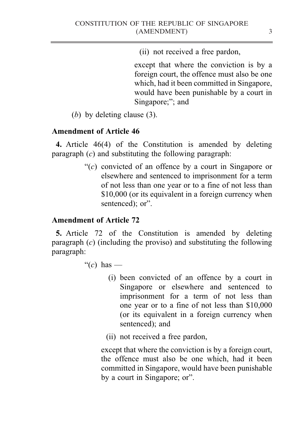(ii) not received a free pardon,

except that where the conviction is by a foreign court, the offence must also be one which, had it been committed in Singapore, would have been punishable by a court in <sup>5</sup> Singapore;"; and

(b) by deleting clause (3).

## Amendment of Article 46

4. Article 46(4) of the Constitution is amended by deleting paragraph  $(c)$  and substituting the following paragraph:

> " $(c)$  convicted of an offence by a court in Singapore or elsewhere and sentenced to imprisonment for a term of not less than one year or to a fine of not less than \$10,000 (or its equivalent in a foreign currency when sentenced); or".

# Amendment of Article 72

5. Article 72 of the Constitution is amended by deleting paragraph (c) (including the proviso) and substituting the following paragraph:

"(c) has  $-$ 

- (i) been convicted of an offence by a court in Singapore or elsewhere and sentenced to imprisonment for a term of not less than one year or to a fine of not less than \$10,000 (or its equivalent in a foreign currency when sentenced); and
- (ii) not received a free pardon,

except that where the conviction is by a foreign court, the offence must also be one which, had it been committed in Singapore, would have been punishable by a court in Singapore; or".